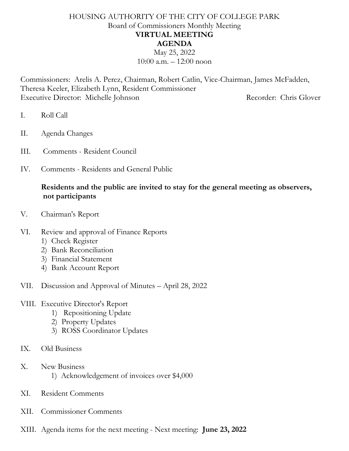### HOUSING AUTHORITY OF THE CITY OF COLLEGE PARK Board of Commissioners Monthly Meeting **VIRTUAL MEETING AGENDA** May 25, 2022

10:00 a.m. – 12:00 noon

Commissioners: Arelis A. Perez, Chairman, Robert Catlin, Vice-Chairman, James McFadden, Theresa Keeler, Elizabeth Lynn, Resident Commissioner Executive Director: Michelle Johnson Recorder: Chris Glover

- I. Roll Call
- II. Agenda Changes
- III. Comments Resident Council
- IV. Comments Residents and General Public

#### **Residents and the public are invited to stay for the general meeting as observers, not participants**

- V. Chairman's Report
- VI. Review and approval of Finance Reports
	- 1) Check Register
	- 2) Bank Reconciliation
	- 3) Financial Statement
	- 4) Bank Account Report
- VII. Discussion and Approval of Minutes April 28, 2022
- VIII. Executive Director's Report
	- 1) Repositioning Update
	- 2) Property Updates
	- 3) ROSS Coordinator Updates
- IX. Old Business
- X. New Business
	- 1) Acknowledgement of invoices over \$4,000
- XI. Resident Comments
- XII. Commissioner Comments
- XIII. Agenda items for the next meeting Next meeting: **June 23, 2022**